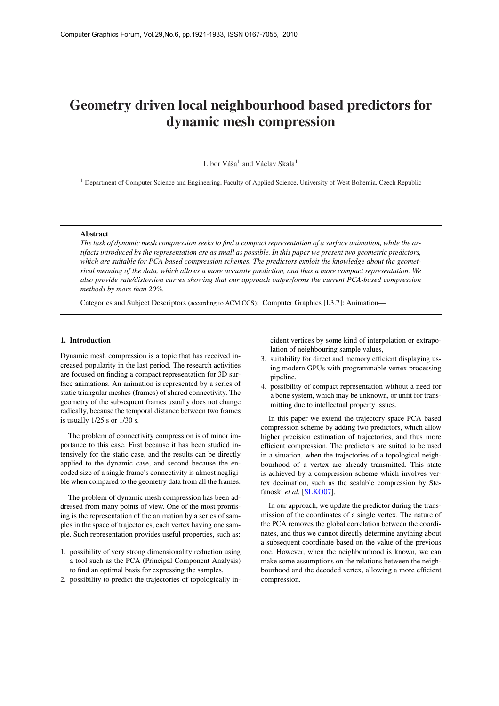# Geometry driven local neighbourhood based predictors for dynamic mesh compression

Libor Váša $^1$  and Václav Skala $^1$ 

<sup>1</sup> Department of Computer Science and Engineering, Faculty of Applied Science, University of West Bohemia, Czech Republic

# Abstract

*The task of dynamic mesh compression seeks to find a compact representation of a surface animation, while the artifacts introduced by the representation are as small as possible. In this paper we present two geometric predictors, which are suitable for PCA based compression schemes. The predictors exploit the knowledge about the geometrical meaning of the data, which allows a more accurate prediction, and thus a more compact representation. We also provide rate/distortion curves showing that our approach outperforms the current PCA-based compression methods by more than 20%.*

Categories and Subject Descriptors (according to ACM CCS): Computer Graphics [I.3.7]: Animation—

# 1. Introduction

Dynamic mesh compression is a topic that has received increased popularity in the last period. The research activities are focused on finding a compact representation for 3D surface animations. An animation is represented by a series of static triangular meshes (frames) of shared connectivity. The geometry of the subsequent frames usually does not change radically, because the temporal distance between two frames is usually 1/25 s or 1/30 s.

The problem of connectivity compression is of minor importance to this case. First because it has been studied intensively for the static case, and the results can be directly applied to the dynamic case, and second because the encoded size of a single frame's connectivity is almost negligible when compared to the geometry data from all the frames.

The problem of dynamic mesh compression has been addressed from many points of view. One of the most promising is the representation of the animation by a series of samples in the space of trajectories, each vertex having one sample. Such representation provides useful properties, such as:

- 1. possibility of very strong dimensionality reduction using a tool such as the PCA (Principal Component Analysis) to find an optimal basis for expressing the samples,
- 2. possibility to predict the trajectories of topologically in-

cident vertices by some kind of interpolation or extrapolation of neighbouring sample values,

- 3. suitability for direct and memory efficient displaying using modern GPUs with programmable vertex processing pipeline,
- 4. possibility of compact representation without a need for a bone system, which may be unknown, or unfit for transmitting due to intellectual property issues.

In this paper we extend the trajectory space PCA based compression scheme by adding two predictors, which allow higher precision estimation of trajectories, and thus more efficient compression. The predictors are suited to be used in a situation, when the trajectories of a topological neighbourhood of a vertex are already transmitted. This state is achieved by a compression scheme which involves vertex decimation, such as the scalable compression by Stefanoski et al. [SLKO07].

In our approach, we update the predictor during the transmission of the coordinates of a single vertex. The nature of the PCA removes the global correlation between the coordinates, and thus we cannot directly determine anything about a subsequent coordinate based on the value of the previous one. However, when the neighbourhood is known, we can make some assumptions on the relations between the neighbourhood and the decoded vertex, allowing a more efficient compression.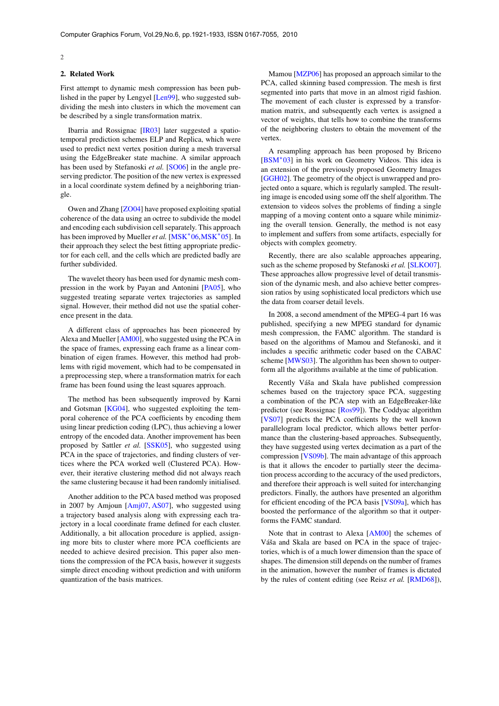# 2. Related Work

First attempt to dynamic mesh compression has been published in the paper by Lengyel [Len99], who suggested subdividing the mesh into clusters in which the movement can be described by a single transformation matrix.

Ibarria and Rossignac [IR03] later suggested a spatiotemporal prediction schemes ELP and Replica, which were used to predict next vertex position during a mesh traversal using the EdgeBreaker state machine. A similar approach has been used by Stefanoski *et al.* [SO06] in the angle preserving predictor. The position of the new vertex is expressed in a local coordinate system defined by a neighboring triangle.

Owen and Zhang [ZO04] have proposed exploiting spatial coherence of the data using an octree to subdivide the model and encoding each subdivision cell separately. This approach has been improved by Mueller *et al.* [MSK<sup>\*</sup>06,MSK<sup>\*</sup>05]. In their approach they select the best fitting appropriate predictor for each cell, and the cells which are predicted badly are further subdivided.

The wavelet theory has been used for dynamic mesh compression in the work by Payan and Antonini [PA05], who suggested treating separate vertex trajectories as sampled signal. However, their method did not use the spatial coherence present in the data.

A different class of approaches has been pioneered by Alexa and Mueller [AM00], who suggested using the PCA in the space of frames, expressing each frame as a linear combination of eigen frames. However, this method had problems with rigid movement, which had to be compensated in a preprocessing step, where a transformation matrix for each frame has been found using the least squares approach.

The method has been subsequently improved by Karni and Gotsman [KG04], who suggested exploiting the temporal coherence of the PCA coefficients by encoding them using linear prediction coding (LPC), thus achieving a lower entropy of the encoded data. Another improvement has been proposed by Sattler *et al.* [SSK05], who suggested using PCA in the space of trajectories, and finding clusters of vertices where the PCA worked well (Clustered PCA). However, their iterative clustering method did not always reach the same clustering because it had been randomly initialised.

Another addition to the PCA based method was proposed in 2007 by Amjoun [Amj07, AS07], who suggested using a trajectory based analysis along with expressing each trajectory in a local coordinate frame defined for each cluster. Additionally, a bit allocation procedure is applied, assigning more bits to cluster where more PCA coefficients are needed to achieve desired precision. This paper also mentions the compression of the PCA basis, however it suggests simple direct encoding without prediction and with uniform quantization of the basis matrices.

Mamou [MZP06] has proposed an approach similar to the PCA, called skinning based compression. The mesh is first segmented into parts that move in an almost rigid fashion. The movement of each cluster is expressed by a transformation matrix, and subsequently each vertex is assigned a vector of weights, that tells how to combine the transforms of the neighboring clusters to obtain the movement of the vertex.

A resampling approach has been proposed by Briceno [BSM<sup>∗</sup> 03] in his work on Geometry Videos. This idea is an extension of the previously proposed Geometry Images [GGH02]. The geometry of the object is unwrapped and projected onto a square, which is regularly sampled. The resulting image is encoded using some off the shelf algorithm. The extension to videos solves the problems of finding a single mapping of a moving content onto a square while minimizing the overall tension. Generally, the method is not easy to implement and suffers from some artifacts, especially for objects with complex geometry.

Recently, there are also scalable approaches appearing, such as the scheme proposed by Stefanoski *et al.* [SLKO07]. These approaches allow progressive level of detail transmission of the dynamic mesh, and also achieve better compression ratios by using sophisticated local predictors which use the data from coarser detail levels.

In 2008, a second amendment of the MPEG-4 part 16 was published, specifying a new MPEG standard for dynamic mesh compression, the FAMC algorithm. The standard is based on the algorithms of Mamou and Stefanoski, and it includes a specific arithmetic coder based on the CABAC scheme [MWS03]. The algorithm has been shown to outperform all the algorithms available at the time of publication.

Recently Váša and Skala have published compression schemes based on the trajectory space PCA, suggesting a combination of the PCA step with an EdgeBreaker-like predictor (see Rossignac [Ros99]). The Coddyac algorithm [VS07] predicts the PCA coefficients by the well known parallelogram local predictor, which allows better performance than the clustering-based approaches. Subsequently, they have suggested using vertex decimation as a part of the compression [VS09b]. The main advantage of this approach is that it allows the encoder to partially steer the decimation process according to the accuracy of the used predictors, and therefore their approach is well suited for interchanging predictors. Finally, the authors have presented an algorithm for efficient encoding of the PCA basis [VS09a], which has boosted the performance of the algorithm so that it outperforms the FAMC standard.

Note that in contrast to Alexa [AM00] the schemes of Váša and Skala are based on PCA in the space of trajectories, which is of a much lower dimension than the space of shapes. The dimension still depends on the number of frames in the animation, however the number of frames is dictated by the rules of content editing (see Reisz *et al.* [RMD68]),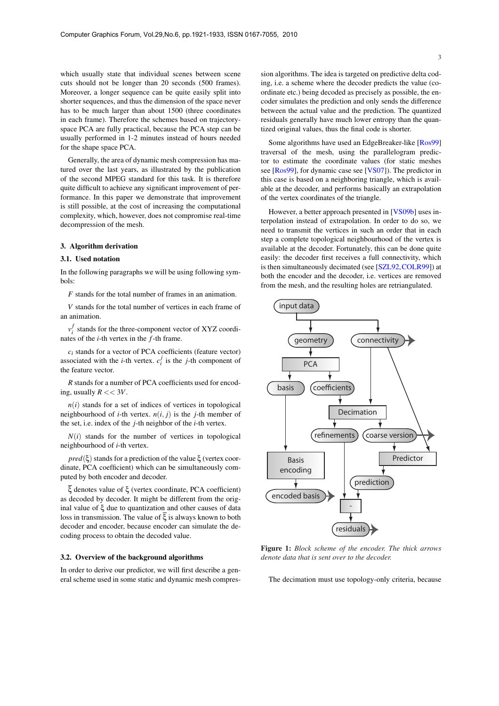which usually state that individual scenes between scene cuts should not be longer than 20 seconds (500 frames). Moreover, a longer sequence can be quite easily split into shorter sequences, and thus the dimension of the space never has to be much larger than about 1500 (three coordinates in each frame). Therefore the schemes based on trajectoryspace PCA are fully practical, because the PCA step can be usually performed in 1-2 minutes instead of hours needed for the shape space PCA.

Generally, the area of dynamic mesh compression has matured over the last years, as illustrated by the publication of the second MPEG standard for this task. It is therefore quite difficult to achieve any significant improvement of performance. In this paper we demonstrate that improvement is still possible, at the cost of increasing the computational complexity, which, however, does not compromise real-time decompression of the mesh.

## 3. Algorithm derivation

# 3.1. Used notation

In the following paragraphs we will be using following symbols:

*F* stands for the total number of frames in an animation.

*V* stands for the total number of vertices in each frame of an animation.

 $v_i^f$  stands for the three-component vector of XYZ coordinates of the *i*-th vertex in the *f*-th frame.

 $c<sub>i</sub>$  stands for a vector of PCA coefficients (feature vector) associated with the *i*-th vertex.  $c_i^j$  is the *j*-th component of the feature vector.

*R* stands for a number of PCA coefficients used for encoding, usually  $R \ll 3V$ .

 $n(i)$  stands for a set of indices of vertices in topological neighbourhood of *i*-th vertex.  $n(i, j)$  is the *j*-th member of the set, i.e. index of the *j*-th neighbor of the *i*-th vertex.

 $N(i)$  stands for the number of vertices in topological neighbourhood of *i*-th vertex.

*pred*(ξ) stands for a prediction of the value ξ (vertex coordinate, PCA coefficient) which can be simultaneously computed by both encoder and decoder.

ξ denotes value of ξ (vertex coordinate, PCA coefficient) as decoded by decoder. It might be different from the original value of ξ due to quantization and other causes of data loss in transmission. The value of  $\overline{\xi}$  is always known to both decoder and encoder, because encoder can simulate the decoding process to obtain the decoded value.

# 3.2. Overview of the background algorithms

In order to derive our predictor, we will first describe a general scheme used in some static and dynamic mesh compres-

sion algorithms. The idea is targeted on predictive delta coding, i.e. a scheme where the decoder predicts the value (coordinate etc.) being decoded as precisely as possible, the encoder simulates the prediction and only sends the difference between the actual value and the prediction. The quantized residuals generally have much lower entropy than the quantized original values, thus the final code is shorter.

Some algorithms have used an EdgeBreaker-like [Ros99] traversal of the mesh, using the parallelogram predictor to estimate the coordinate values (for static meshes see [Ros99], for dynamic case see [VS07]). The predictor in this case is based on a neighboring triangle, which is available at the decoder, and performs basically an extrapolation of the vertex coordinates of the triangle.

However, a better approach presented in [VS09b] uses interpolation instead of extrapolation. In order to do so, we need to transmit the vertices in such an order that in each step a complete topological neighbourhood of the vertex is available at the decoder. Fortunately, this can be done quite easily: the decoder first receives a full connectivity, which is then simultaneously decimated (see [SZL92,COLR99]) at both the encoder and the decoder, i.e. vertices are removed from the mesh, and the resulting holes are retriangulated.



Figure 1: *Block scheme of the encoder. The thick arrows denote data that is sent over to the decoder.*

The decimation must use topology-only criteria, because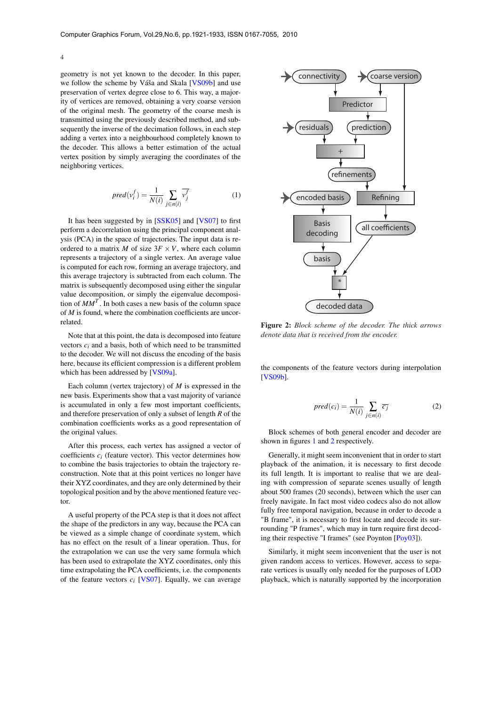geometry is not yet known to the decoder. In this paper, we follow the scheme by Váša and Skala [VS09b] and use preservation of vertex degree close to 6. This way, a majority of vertices are removed, obtaining a very coarse version of the original mesh. The geometry of the coarse mesh is transmitted using the previously described method, and subsequently the inverse of the decimation follows, in each step adding a vertex into a neighbourhood completely known to the decoder. This allows a better estimation of the actual vertex position by simply averaging the coordinates of the neighboring vertices.

$$
pred(v_i^f) = \frac{1}{N(i)} \sum_{j \in n(i)} \overline{v_j^f}
$$
 (1)

It has been suggested by in [SSK05] and [VS07] to first perform a decorrelation using the principal component analysis (PCA) in the space of trajectories. The input data is reordered to a matrix *M* of size  $3F \times V$ , where each column represents a trajectory of a single vertex. An average value is computed for each row, forming an average trajectory, and this average trajectory is subtracted from each column. The matrix is subsequently decomposed using either the singular value decomposition, or simply the eigenvalue decomposition of  $MM<sup>T</sup>$ . In both cases a new basis of the column space of *M* is found, where the combination coefficients are uncorrelated.

Note that at this point, the data is decomposed into feature vectors *c<sup>i</sup>* and a basis, both of which need to be transmitted to the decoder. We will not discuss the encoding of the basis here, because its efficient compression is a different problem which has been addressed by [VS09a].

Each column (vertex trajectory) of *M* is expressed in the new basis. Experiments show that a vast majority of variance is accumulated in only a few most important coefficients, and therefore preservation of only a subset of length *R* of the combination coefficients works as a good representation of the original values.

After this process, each vertex has assigned a vector of coefficients *c<sup>i</sup>* (feature vector). This vector determines how to combine the basis trajectories to obtain the trajectory reconstruction. Note that at this point vertices no longer have their XYZ coordinates, and they are only determined by their topological position and by the above mentioned feature vector.

A useful property of the PCA step is that it does not affect the shape of the predictors in any way, because the PCA can be viewed as a simple change of coordinate system, which has no effect on the result of a linear operation. Thus, for the extrapolation we can use the very same formula which has been used to extrapolate the XYZ coordinates, only this time extrapolating the PCA coefficients, i.e. the components of the feature vectors *c<sup>i</sup>* [VS07]. Equally, we can average



Figure 2: *Block scheme of the decoder. The thick arrows denote data that is received from the encoder.*

the components of the feature vectors during interpolation [VS09b].

$$
pred(c_i) = \frac{1}{N(i)} \sum_{j \in n(i)} \overline{c_j}
$$
 (2)

Block schemes of both general encoder and decoder are shown in figures 1 and 2 respectively.

Generally, it might seem inconvenient that in order to start playback of the animation, it is necessary to first decode its full length. It is important to realise that we are dealing with compression of separate scenes usually of length about 500 frames (20 seconds), between which the user can freely navigate. In fact most video codecs also do not allow fully free temporal navigation, because in order to decode a "B frame", it is necessary to first locate and decode its surrounding "P frames", which may in turn require first decoding their respective "I frames" (see Poynton [Poy03]).

Similarly, it might seem inconvenient that the user is not given random access to vertices. However, access to separate vertices is usually only needed for the purposes of LOD playback, which is naturally supported by the incorporation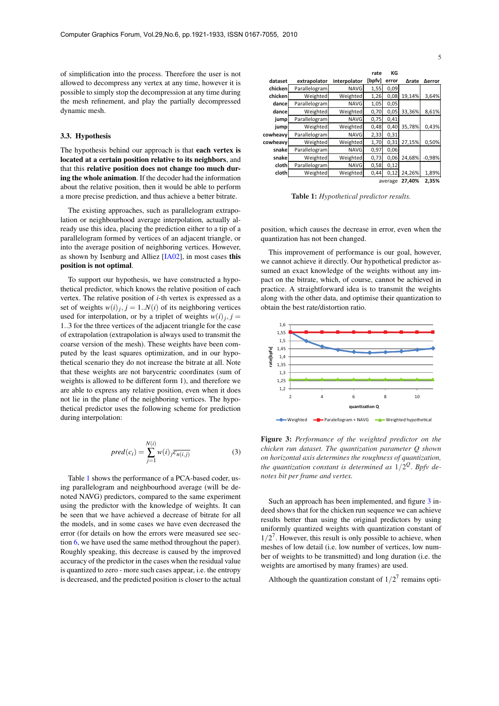of simplification into the process. Therefore the user is not allowed to decompress any vertex at any time, however it is possible to simply stop the decompression at any time during the mesh refinement, and play the partially decompressed dynamic mesh.

# 3.3. Hypothesis

The hypothesis behind our approach is that each vertex is located at a certain position relative to its neighbors, and that this relative position does not change too much during the whole animation. If the decoder had the information about the relative position, then it would be able to perform a more precise prediction, and thus achieve a better bitrate.

The existing approaches, such as parallelogram extrapolation or neighbourhood average interpolation, actually already use this idea, placing the prediction either to a tip of a parallelogram formed by vertices of an adjacent triangle, or into the average position of neighboring vertices. However, as shown by Isenburg and Alliez [IA02], in most cases this position is not optimal.

To support our hypothesis, we have constructed a hypothetical predictor, which knows the relative position of each vertex. The relative position of *i*-th vertex is expressed as a set of weights  $w(i)_j$ ,  $j = 1..N(i)$  of its neighboring vertices used for interpolation, or by a triplet of weights  $w(i)$ ,  $j =$ 1..3 for the three vertices of the adjacent triangle for the case of extrapolation (extrapolation is always used to transmit the coarse version of the mesh). These weights have been computed by the least squares optimization, and in our hypothetical scenario they do not increase the bitrate at all. Note that these weights are not barycentric coordinates (sum of weights is allowed to be different form 1), and therefore we are able to express any relative position, even when it does not lie in the plane of the neighboring vertices. The hypothetical predictor uses the following scheme for prediction during interpolation:

$$
pred(c_i) = \sum_{j=1}^{N(i)} w(i)_{j} \overline{c_{n(i,j)}}
$$
\n(3)

Table 1 shows the performance of a PCA-based coder, using parallelogram and neighbourhood average (will be denoted NAVG) predictors, compared to the same experiment using the predictor with the knowledge of weights. It can be seen that we have achieved a decrease of bitrate for all the models, and in some cases we have even decreased the error (for details on how the errors were measured see section 6, we have used the same method throughout the paper). Roughly speaking, this decrease is caused by the improved accuracy of the predictor in the cases when the residual value is quantized to zero - more such cases appear, i.e. the entropy is decreased, and the predicted position is closer to the actual

|          |               |              | rate   | КG    |        |          |
|----------|---------------|--------------|--------|-------|--------|----------|
| dataset  | extrapolator  | interpolator | [bpfv] | error | Δrate  | Δerror   |
| chicken  | Parallelogram | <b>NAVG</b>  | 1,55   | 0.09  |        |          |
| chicken  | Weighted      | Weighted     | 1,26   | 0,08  | 19,14% | 3,64%    |
| dance    | Parallelogram | <b>NAVG</b>  | 1,05   | 0.05  |        |          |
| dance    | Weighted      | Weighted     | 0,70   | 0,05  | 33,36% | 8,61%    |
| jump     | Parallelogram | <b>NAVG</b>  | 0,75   | 0.41  |        |          |
| jump     | Weighted      | Weighted     | 0,48   | 0,40  | 35,78% | 0,43%    |
| cowheavv | Parallelogram | <b>NAVG</b>  | 2,33   | 0,31  |        |          |
| cowheavy | Weighted      | Weighted     | 1,70   | 0,31  | 27,15% | 0,50%    |
| snake    | Parallelogram | <b>NAVG</b>  | 0,97   | 0,06  |        |          |
| snake    | Weighted      | Weighted     | 0,73   | 0,06  | 24,68% | $-0,98%$ |
| cloth    | Parallelogram | <b>NAVG</b>  | 0,58   | 0,12  |        |          |
| cloth    | Weighted      | Weighted     | 0.44   | 0.12  | 24,26% | 1.89%    |

Table 1: *Hypothetical predictor results.*

position, which causes the decrease in error, even when the quantization has not been changed.

This improvement of performance is our goal, however, we cannot achieve it directly. Our hypothetical predictor assumed an exact knowledge of the weights without any impact on the bitrate, which, of course, cannot be achieved in practice. A straightforward idea is to transmit the weights along with the other data, and optimise their quantization to obtain the best rate/distortion ratio.



Figure 3: *Performance of the weighted predictor on the chicken run dataset. The quantization parameter Q shown on horizontal axis determines the roughness of quantization, the quantization constant is determined as*  $1/2^{\mathcal{Q}}$ *. Bpfv denotes bit per frame and vertex.*

Such an approach has been implemented, and figure 3 indeed shows that for the chicken run sequence we can achieve results better than using the original predictors by using uniformly quantized weights with quantization constant of  $1/2^7$ . However, this result is only possible to achieve, when meshes of low detail (i.e. low number of vertices, low number of weights to be transmitted) and long duration (i.e. the weights are amortised by many frames) are used.

Although the quantization constant of  $1/2<sup>7</sup>$  remains opti-

average **27,40% 2,35%**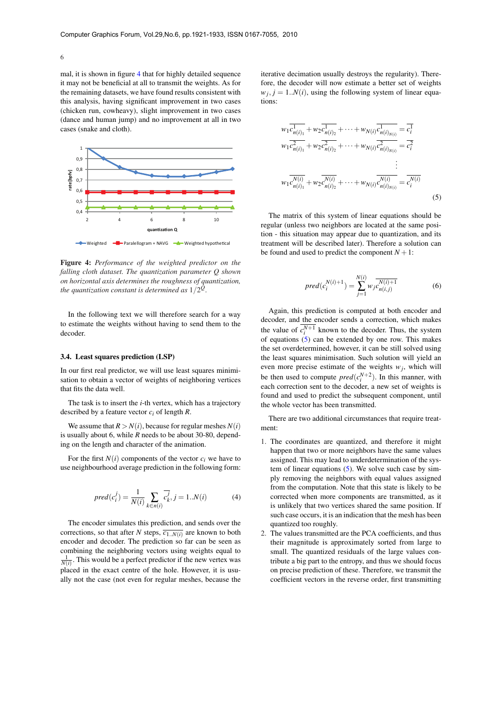mal, it is shown in figure 4 that for highly detailed sequence it may not be beneficial at all to transmit the weights. As for the remaining datasets, we have found results consistent with this analysis, having significant improvement in two cases (chicken run, cowheavy), slight improvement in two cases (dance and human jump) and no improvement at all in two cases (snake and cloth).



Figure 4: *Performance of the weighted predictor on the falling cloth dataset. The quantization parameter Q shown on horizontal axis determines the roughness of quantization,* the quantization constant is determined as  $1/2^{\hat{Q}}$ .

In the following text we will therefore search for a way to estimate the weights without having to send them to the decoder.

#### 3.4. Least squares prediction (LSP)

In our first real predictor, we will use least squares minimisation to obtain a vector of weights of neighboring vertices that fits the data well.

The task is to insert the *i*-th vertex, which has a trajectory described by a feature vector *c<sup>i</sup>* of length *R*.

We assume that  $R > N(i)$ , because for regular meshes  $N(i)$ is usually about 6, while *R* needs to be about 30-80, depending on the length and character of the animation.

For the first  $N(i)$  components of the vector  $c_i$  we have to use neighbourhood average prediction in the following form:

$$
pred(c_i^j) = \frac{1}{N(i)} \sum_{k \in n(i)} \overline{c_k^j}, j = 1..N(i)
$$
 (4)

The encoder simulates this prediction, and sends over the corrections, so that after *N* steps,  $\overline{c_{1..N(i)}}$  are known to both encoder and decoder. The prediction so far can be seen as combining the neighboring vectors using weights equal to  $\frac{1}{N(i)}$ . This would be a perfect predictor if the new vertex was placed in the exact centre of the hole. However, it is usually not the case (not even for regular meshes, because the iterative decimation usually destroys the regularity). Therefore, the decoder will now estimate a better set of weights  $w_j$ ,  $j = 1..N(i)$ , using the following system of linear equations:

$$
w_1 \overline{c_{n(i)_1}^1} + w_2 \overline{c_{n(i)_2}^1} + \dots + w_{N(i)} \overline{c_{n(i)_{N(i)}}^1} = \overline{c_i^1}
$$
  
\n
$$
w_1 \overline{c_{n(i)_1}^2} + w_2 \overline{c_{n(i)_2}^2} + \dots + w_{N(i)} \overline{c_{n(i)_{N(i)}}^2} = \overline{c_i^2}
$$
  
\n
$$
\vdots
$$
  
\n
$$
w_1 \overline{c_{n(i)_1}^{N(i)}} + w_2 \overline{c_{n(i)_2}^{N(i)}} + \dots + w_{N(i)} \overline{c_{n(i)_{N(i)}}^{N(i)}} = \overline{c_i^{N(i)}}
$$
  
\n(5)

The matrix of this system of linear equations should be regular (unless two neighbors are located at the same position - this situation may appear due to quantization, and its treatment will be described later). Therefore a solution can be found and used to predict the component  $N + 1$ :

$$
pred(c_i^{N(i)+1}) = \sum_{j=1}^{N(i)} w_j \overline{c_{n(i,j)}^{N(i)+1}}
$$
(6)

Again, this prediction is computed at both encoder and decoder, and the encoder sends a correction, which makes the value of  $c_i^{N+1}$  known to the decoder. Thus, the system of equations  $(5)$  can be extended by one row. This makes the set overdetermined, however, it can be still solved using the least squares minimisation. Such solution will yield an even more precise estimate of the weights  $w_j$ , which will be then used to compute  $pred(c_i^{N+2})$ . In this manner, with each correction sent to the decoder, a new set of weights is found and used to predict the subsequent component, until the whole vector has been transmitted.

There are two additional circumstances that require treatment:

- 1. The coordinates are quantized, and therefore it might happen that two or more neighbors have the same values assigned. This may lead to underdetermination of the system of linear equations  $(5)$ . We solve such case by simply removing the neighbors with equal values assigned from the computation. Note that this state is likely to be corrected when more components are transmitted, as it is unlikely that two vertices shared the same position. If such case occurs, it is an indication that the mesh has been quantized too roughly.
- 2. The values transmitted are the PCA coefficients, and thus their magnitude is approximately sorted from large to small. The quantized residuals of the large values contribute a big part to the entropy, and thus we should focus on precise prediction of these. Therefore, we transmit the coefficient vectors in the reverse order, first transmitting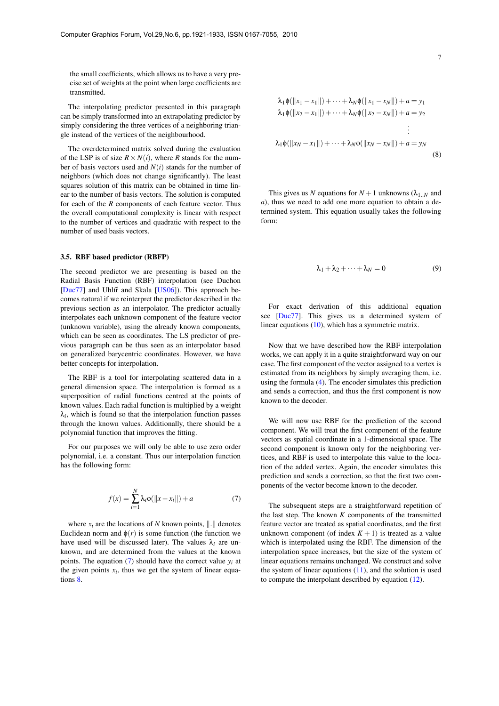the small coefficients, which allows us to have a very precise set of weights at the point when large coefficients are transmitted.

The interpolating predictor presented in this paragraph can be simply transformed into an extrapolating predictor by simply considering the three vertices of a neighboring triangle instead of the vertices of the neighbourhood.

The overdetermined matrix solved during the evaluation of the LSP is of size  $R \times N(i)$ , where *R* stands for the number of basis vectors used and *N*(*i*) stands for the number of neighbors (which does not change significantly). The least squares solution of this matrix can be obtained in time linear to the number of basis vectors. The solution is computed for each of the *R* components of each feature vector. Thus the overall computational complexity is linear with respect to the number of vertices and quadratic with respect to the number of used basis vectors.

# 3.5. RBF based predictor (RBFP)

The second predictor we are presenting is based on the Radial Basis Function (RBF) interpolation (see Duchon [Duc77] and Uhlíř and Skala [US06]). This approach becomes natural if we reinterpret the predictor described in the previous section as an interpolator. The predictor actually interpolates each unknown component of the feature vector (unknown variable), using the already known components, which can be seen as coordinates. The LS predictor of previous paragraph can be thus seen as an interpolator based on generalized barycentric coordinates. However, we have better concepts for interpolation.

The RBF is a tool for interpolating scattered data in a general dimension space. The interpolation is formed as a superposition of radial functions centred at the points of known values. Each radial function is multiplied by a weight  $\lambda_i$ , which is found so that the interpolation function passes through the known values. Additionally, there should be a polynomial function that improves the fitting.

For our purposes we will only be able to use zero order polynomial, i.e. a constant. Thus our interpolation function has the following form:

$$
f(x) = \sum_{i=1}^{N} \lambda_i \phi(||x - x_i||) + a
$$
 (7)

where  $x_i$  are the locations of *N* known points,  $\|\cdot\|$  denotes Euclidean norm and  $\phi(r)$  is some function (the function we have used will be discussed later). The values  $\lambda_i$  are unknown, and are determined from the values at the known points. The equation  $(7)$  should have the correct value  $y_i$  at the given points  $x_i$ , thus we get the system of linear equations 8.

$$
\lambda_1 \phi(||x_1 - x_1||) + \cdots + \lambda_N \phi(||x_1 - x_N||) + a = y_1
$$
  
\n
$$
\lambda_1 \phi(||x_2 - x_1||) + \cdots + \lambda_N \phi(||x_2 - x_N||) + a = y_2
$$
  
\n
$$
\vdots
$$
  
\n
$$
\lambda_1 \phi(||x_N - x_1||) + \cdots + \lambda_N \phi(||x_N - x_N||) + a = y_N
$$

This gives us *N* equations for  $N + 1$  unknowns ( $\lambda_{1,N}$  and *a*), thus we need to add one more equation to obtain a determined system. This equation usually takes the following form:

$$
\lambda_1 + \lambda_2 + \dots + \lambda_N = 0 \tag{9}
$$

For exact derivation of this additional equation see [Duc77]. This gives us a determined system of linear equations (10), which has a symmetric matrix.

Now that we have described how the RBF interpolation works, we can apply it in a quite straightforward way on our case. The first component of the vector assigned to a vertex is estimated from its neighbors by simply averaging them, i.e. using the formula (4). The encoder simulates this prediction and sends a correction, and thus the first component is now known to the decoder.

We will now use RBF for the prediction of the second component. We will treat the first component of the feature vectors as spatial coordinate in a 1-dimensional space. The second component is known only for the neighboring vertices, and RBF is used to interpolate this value to the location of the added vertex. Again, the encoder simulates this prediction and sends a correction, so that the first two components of the vector become known to the decoder.

The subsequent steps are a straightforward repetition of the last step. The known *K* components of the transmitted feature vector are treated as spatial coordinates, and the first unknown component (of index  $K + 1$ ) is treated as a value which is interpolated using the RBF. The dimension of the interpolation space increases, but the size of the system of linear equations remains unchanged. We construct and solve the system of linear equations  $(11)$ , and the solution is used to compute the interpolant described by equation (12).

(8)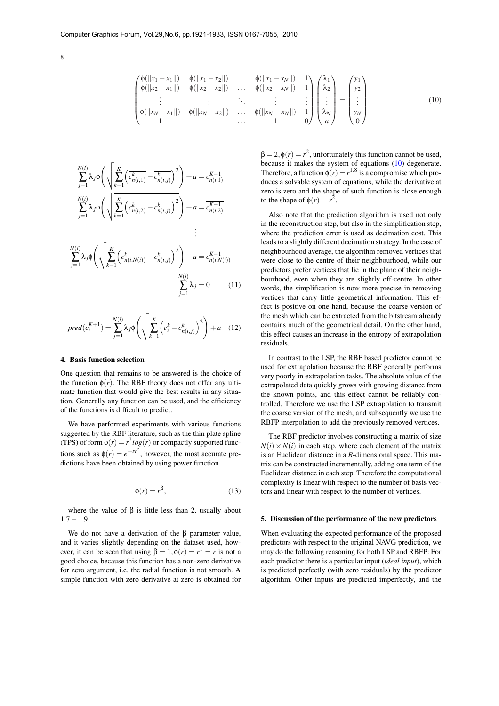$$
\begin{pmatrix}\n\phi(||x_1 - x_1||) & \phi(||x_1 - x_2||) & \dots & \phi(||x_1 - x_N||) & 1 \\
\phi(||x_2 - x_1||) & \phi(||x_2 - x_2||) & \dots & \phi(||x_2 - x_N||) & 1 \\
\vdots & \vdots & \ddots & \vdots & \vdots \\
\phi(||x_N - x_1||) & \phi(||x_N - x_2||) & \dots & \phi(||x_N - x_N||) & 1 \\
1 & 1 & \dots & 1 & 0\n\end{pmatrix}\n\begin{pmatrix}\n\lambda_1 \\
\lambda_2 \\
\vdots \\
\lambda_N \\
a\n\end{pmatrix}\n=\n\begin{pmatrix}\ny_1 \\
y_2 \\
\vdots \\
y_N \\
0\n\end{pmatrix}
$$
\n(10)

$$
\sum_{j=1}^{N(i)} \lambda_j \phi \left( \sqrt{\sum_{k=1}^{K} \left( \overline{c_{n(i,1)}^k} - \overline{c_{n(i,j)}^k} \right)^2} \right) + a = \overline{c_{n(i,1)}^{K+1}}
$$
\n
$$
\sum_{j=1}^{N(i)} \lambda_j \phi \left( \sqrt{\sum_{k=1}^{K} \left( \overline{c_{n(i,2)}^k} - \overline{c_{n(i,j)}^k} \right)^2} \right) + a = \overline{c_{n(i,2)}^{K+1}}
$$
\n
$$
\vdots
$$
\n
$$
\sum_{j=1}^{N(i)} \lambda_j \phi \left( \sqrt{\sum_{k=1}^{K} \left( \overline{c_{n(i,N(i))}^k} - \overline{c_{n(i,j)}^k} \right)^2} \right) + a = \overline{c_{n(i,N(i)}^{K+1}}
$$
\n
$$
\sum_{j=1}^{N(i)} \lambda_j = 0 \qquad (11)
$$

$$
pred(c_i^{K+1}) = \sum_{j=1}^{N(i)} \lambda_j \phi \left( \sqrt{\sum_{k=1}^{K} \left( \overline{c_i^k} - \overline{c_{n(i,j)}^k} \right)^2} \right) + a \quad (12)
$$

## 4. Basis function selection

One question that remains to be answered is the choice of the function  $\phi(r)$ . The RBF theory does not offer any ultimate function that would give the best results in any situation. Generally any function can be used, and the efficiency of the functions is difficult to predict.

We have performed experiments with various functions suggested by the RBF literature, such as the thin plate spline (TPS) of form  $\phi(r) = r^2 log(r)$  or compactly supported functions such as  $\phi(r) = e^{-sr^2}$ , however, the most accurate predictions have been obtained by using power function

$$
\phi(r) = r^{\beta},\tag{13}
$$

where the value of β is little less than 2, usually about  $1.7-1.9$ .

We do not have a derivation of the  $\beta$  parameter value, and it varies slightly depending on the dataset used, however, it can be seen that using  $\beta = 1$ ,  $\phi(r) = r^1 = r$  is not a good choice, because this function has a non-zero derivative for zero argument, i.e. the radial function is not smooth. A simple function with zero derivative at zero is obtained for

 $\beta = 2, \phi(r) = r^2$ , unfortunately this function cannot be used, because it makes the system of equations (10) degenerate. Therefore, a function  $\phi(r) = r^{1.8}$  is a compromise which produces a solvable system of equations, while the derivative at zero is zero and the shape of such function is close enough to the shape of  $\phi(r) = r^2$ .

Also note that the prediction algorithm is used not only in the reconstruction step, but also in the simplification step, where the prediction error is used as decimation cost. This leads to a slightly different decimation strategy. In the case of neighbourhood average, the algorithm removed vertices that were close to the centre of their neighbourhood, while our predictors prefer vertices that lie in the plane of their neighbourhood, even when they are slightly off-centre. In other words, the simplification is now more precise in removing vertices that carry little geometrical information. This effect is positive on one hand, because the coarse version of the mesh which can be extracted from the bitstream already contains much of the geometrical detail. On the other hand, this effect causes an increase in the entropy of extrapolation residuals.

In contrast to the LSP, the RBF based predictor cannot be used for extrapolation because the RBF generally performs very poorly in extrapolation tasks. The absolute value of the extrapolated data quickly grows with growing distance from the known points, and this effect cannot be reliably controlled. Therefore we use the LSP extrapolation to transmit the coarse version of the mesh, and subsequently we use the RBFP interpolation to add the previously removed vertices.

The RBF predictor involves constructing a matrix of size  $N(i) \times N(i)$  in each step, where each element of the matrix is an Euclidean distance in a *R*-dimensional space. This matrix can be constructed incrementally, adding one term of the Euclidean distance in each step. Therefore the computational complexity is linear with respect to the number of basis vectors and linear with respect to the number of vertices.

## 5. Discussion of the performance of the new predictors

When evaluating the expected performance of the proposed predictors with respect to the original NAVG prediction, we may do the following reasoning for both LSP and RBFP: For each predictor there is a particular input (*ideal input*), which is predicted perfectly (with zero residuals) by the predictor algorithm. Other inputs are predicted imperfectly, and the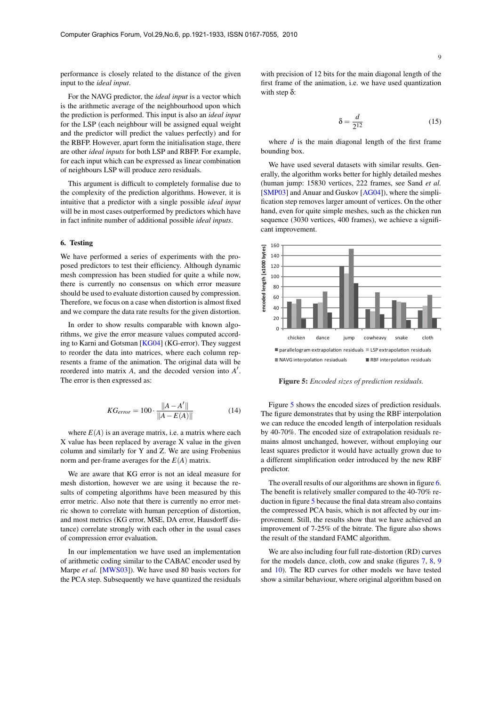performance is closely related to the distance of the given input to the *ideal input*.

For the NAVG predictor, the *ideal input* is a vector which is the arithmetic average of the neighbourhood upon which the prediction is performed. This input is also an *ideal input* for the LSP (each neighbour will be assigned equal weight and the predictor will predict the values perfectly) and for the RBFP. However, apart form the initialisation stage, there are other *ideal inputs* for both LSP and RBFP. For example, for each input which can be expressed as linear combination of neighbours LSP will produce zero residuals.

This argument is difficult to completely formalise due to the complexity of the prediction algorithms. However, it is intuitive that a predictor with a single possible *ideal input* will be in most cases outperformed by predictors which have in fact infinite number of additional possible *ideal inputs*.

# 6. Testing

We have performed a series of experiments with the proposed predictors to test their efficiency. Although dynamic mesh compression has been studied for quite a while now, there is currently no consensus on which error measure should be used to evaluate distortion caused by compression. Therefore, we focus on a case when distortion is almost fixed and we compare the data rate results for the given distortion.

In order to show results comparable with known algorithms, we give the error measure values computed according to Karni and Gotsman [KG04] (KG-error). They suggest to reorder the data into matrices, where each column represents a frame of the animation. The original data will be reordered into matrix  $A$ , and the decoded version into  $A'$ . The error is then expressed as:

$$
KG_{error} = 100 \cdot \frac{\|A - A'\|}{\|A - E(A)\|} \tag{14}
$$

where  $E(A)$  is an average matrix, i.e. a matrix where each X value has been replaced by average X value in the given column and similarly for Y and Z. We are using Frobenius norm and per-frame averages for the *E*(*A*) matrix.

We are aware that KG error is not an ideal measure for mesh distortion, however we are using it because the results of competing algorithms have been measured by this error metric. Also note that there is currently no error metric shown to correlate with human perception of distortion, and most metrics (KG error, MSE, DA error, Hausdorff distance) correlate strongly with each other in the usual cases of compression error evaluation.

In our implementation we have used an implementation of arithmetic coding similar to the CABAC encoder used by Marpe *et al.* [MWS03]). We have used 80 basis vectors for the PCA step. Subsequently we have quantized the residuals

with precision of 12 bits for the main diagonal length of the first frame of the animation, i.e. we have used quantization with step δ:

$$
\delta = \frac{d}{2^{12}}\tag{15}
$$

where *d* is the main diagonal length of the first frame bounding box.

We have used several datasets with similar results. Generally, the algorithm works better for highly detailed meshes (human jump: 15830 vertices, 222 frames, see Sand *et al.* [SMP03] and Anuar and Guskov [AG04]), where the simplification step removes larger amount of vertices. On the other hand, even for quite simple meshes, such as the chicken run sequence (3030 vertices, 400 frames), we achieve a significant improvement.



Figure 5: *Encoded sizes of prediction residuals.*

Figure 5 shows the encoded sizes of prediction residuals. The figure demonstrates that by using the RBF interpolation we can reduce the encoded length of interpolation residuals by 40-70%. The encoded size of extrapolation residuals remains almost unchanged, however, without employing our least squares predictor it would have actually grown due to a different simplification order introduced by the new RBF predictor.

The overall results of our algorithms are shown in figure 6. The benefit is relatively smaller compared to the 40-70% reduction in figure 5 because the final data stream also contains the compressed PCA basis, which is not affected by our improvement. Still, the results show that we have achieved an improvement of 7-25% of the bitrate. The figure also shows the result of the standard FAMC algorithm.

We are also including four full rate-distortion (RD) curves for the models dance, cloth, cow and snake (figures 7, 8, 9 and 10). The RD curves for other models we have tested show a similar behaviour, where original algorithm based on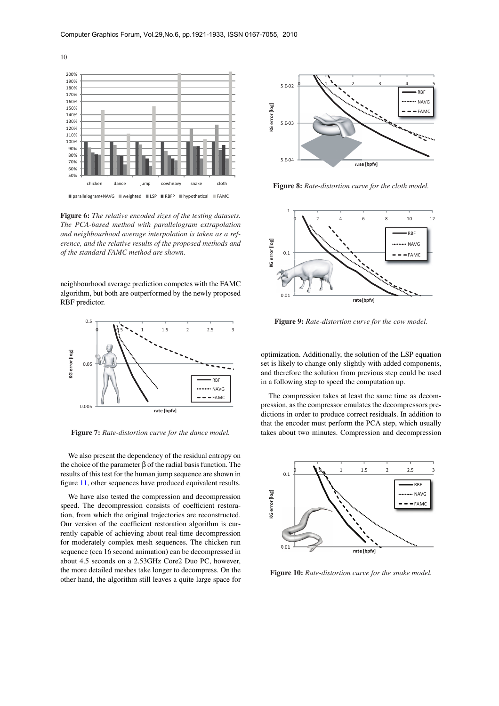



Figure 6: *The relative encoded sizes of the testing datasets. The PCA-based method with parallelogram extrapolation and neighbourhood average interpolation is taken as a reference, and the relative results of the proposed methods and of the standard FAMC method are shown.*

neighbourhood average prediction competes with the FAMC algorithm, but both are outperformed by the newly proposed RBF predictor.



Figure 7: *Rate-distortion curve for the dance model.*

We also present the dependency of the residual entropy on the choice of the parameter  $\beta$  of the radial basis function. The results of this test for the human jump sequence are shown in figure 11, other sequences have produced equivalent results.

We have also tested the compression and decompression speed. The decompression consists of coefficient restoration, from which the original trajectories are reconstructed. Our version of the coefficient restoration algorithm is currently capable of achieving about real-time decompression for moderately complex mesh sequences. The chicken run sequence (cca 16 second animation) can be decompressed in about 4.5 seconds on a 2.53GHz Core2 Duo PC, however, the more detailed meshes take longer to decompress. On the other hand, the algorithm still leaves a quite large space for



Figure 8: *Rate-distortion curve for the cloth model.*



Figure 9: *Rate-distortion curve for the cow model.*

optimization. Additionally, the solution of the LSP equation set is likely to change only slightly with added components, and therefore the solution from previous step could be used in a following step to speed the computation up.

The compression takes at least the same time as decompression, as the compressor emulates the decompressors predictions in order to produce correct residuals. In addition to that the encoder must perform the PCA step, which usually takes about two minutes. Compression and decompression



Figure 10: *Rate-distortion curve for the snake model.*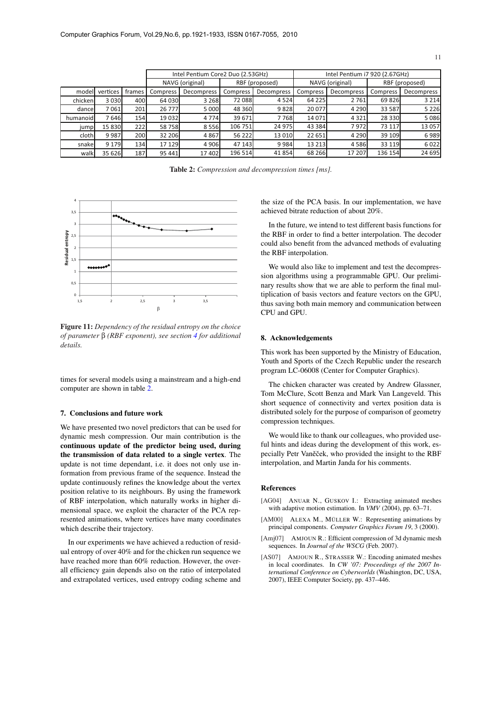|          |          |                 | Intel Pentium Core2 Duo (2.53GHz) |                |          |                 | Intel Pentium i7 920 (2.67GHz) |                |          |            |  |
|----------|----------|-----------------|-----------------------------------|----------------|----------|-----------------|--------------------------------|----------------|----------|------------|--|
|          |          | NAVG (original) |                                   | RBF (proposed) |          | NAVG (original) |                                | RBF (proposed) |          |            |  |
| modell   | vertices | frames          | Compress                          | Decompress     | Compress | Decompress      | Compress                       | Decompress     | Compress | Decompress |  |
| chicken  | 3030     | 400             | 64 030                            | 3 2 6 8        | 72 088   | 4 5 2 4         | 64 2 2 5                       | 2 7 6 1        | 69 8 26  | 3 2 1 4    |  |
| dancel   | 7061     | 201             | 26 777                            | 5 0 0 0        | 48 360   | 9828            | 20 077                         | 4 2 9 0        | 33 587   | 5 2 2 6    |  |
| humanoid | 7646     | 154             | 19 0 32                           | 4 7 7 4        | 39 671   | 7768            | 14 071                         | 4 3 2 1        | 28 3 30  | 5 0 8 6    |  |
| jump     | 15 8 30  | 222             | 58758                             | 8556           | 106 751  | 24 975          | 43 3 84                        | 7972           | 73 117   | 13 057     |  |
| cloth    | 9987     | 200             | 32 206                            | 4867           | 56 222   | 13 010          | 22 651                         | 4 2 9 0        | 39 109   | 6989       |  |
| snake    | 9 1 7 9  | 134             | 17 129                            | 4 9 0 6        | 47 143   | 9984            | 13 2 13                        | 4586           | 33 119   | 6 0 2 2    |  |
| walk     | 35 626   | <b>187</b>      | 95 441                            | 17402          | 196 514  | 41 854          | 68 266                         | 17 207         | 136 154  | 24 695     |  |

Table 2: *Compression and decompression times [ms].*



Figure 11: *Dependency of the residual entropy on the choice of parameter* β *(RBF exponent), see section 4 for additional details.*

times for several models using a mainstream and a high-end computer are shown in table 2.

#### 7. Conclusions and future work

We have presented two novel predictors that can be used for dynamic mesh compression. Our main contribution is the continuous update of the predictor being used, during the transmission of data related to a single vertex. The update is not time dependant, i.e. it does not only use information from previous frame of the sequence. Instead the update continuously refines the knowledge about the vertex position relative to its neighbours. By using the framework of RBF interpolation, which naturally works in higher dimensional space, we exploit the character of the PCA represented animations, where vertices have many coordinates which describe their trajectory.

In our experiments we have achieved a reduction of residual entropy of over 40% and for the chicken run sequence we have reached more than 60% reduction. However, the overall efficiency gain depends also on the ratio of interpolated and extrapolated vertices, used entropy coding scheme and

the size of the PCA basis. In our implementation, we have achieved bitrate reduction of about 20%.

In the future, we intend to test different basis functions for the RBF in order to find a better interpolation. The decoder could also benefit from the advanced methods of evaluating the RBF interpolation.

We would also like to implement and test the decompression algorithms using a programmable GPU. Our preliminary results show that we are able to perform the final multiplication of basis vectors and feature vectors on the GPU, thus saving both main memory and communication between CPU and GPU.

## 8. Acknowledgements

This work has been supported by the Ministry of Education, Youth and Sports of the Czech Republic under the research program LC-06008 (Center for Computer Graphics).

The chicken character was created by Andrew Glassner, Tom McClure, Scott Benza and Mark Van Langeveld. This short sequence of connectivity and vertex position data is distributed solely for the purpose of comparison of geometry compression techniques.

We would like to thank our colleagues, who provided useful hints and ideas during the development of this work, especially Petr Vaněček, who provided the insight to the RBF interpolation, and Martin Janda for his comments.

## References

- [AG04] ANUAR N., GUSKOV I.: Extracting animated meshes with adaptive motion estimation. In *VMV* (2004), pp. 63–71.
- [AM00] ALEXA M., MÜLLER W.: Representing animations by principal components. *Computer Graphics Forum 19*, 3 (2000).
- [Amj07] AMJOUN R.: Efficient compression of 3d dynamic mesh sequences. In *Journal of the WSCG* (Feb. 2007).
- [AS07] AMJOUN R., STRASSER W.: Encoding animated meshes in local coordinates. In *CW '07: Proceedings of the 2007 International Conference on Cyberworlds* (Washington, DC, USA, 2007), IEEE Computer Society, pp. 437–446.